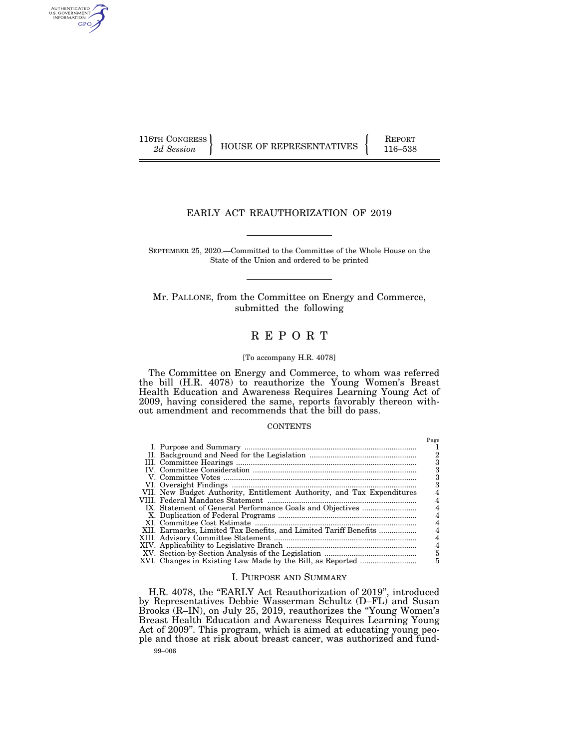AUTHENTICATED<br>U.S. GOVERNMENT<br>INFORMATION GPO

116TH CONGRESS HOUSE OF REPRESENTATIVES FEPORT 116–538

# EARLY ACT REAUTHORIZATION OF 2019

SEPTEMBER 25, 2020.—Committed to the Committee of the Whole House on the State of the Union and ordered to be printed

Mr. PALLONE, from the Committee on Energy and Commerce, submitted the following

# R E P O R T

#### [To accompany H.R. 4078]

The Committee on Energy and Commerce, to whom was referred the bill (H.R. 4078) to reauthorize the Young Women's Breast Health Education and Awareness Requires Learning Young Act of 2009, having considered the same, reports favorably thereon without amendment and recommends that the bill do pass.

#### **CONTENTS**

|                                                                        | Page |
|------------------------------------------------------------------------|------|
|                                                                        |      |
|                                                                        |      |
|                                                                        |      |
|                                                                        | з    |
|                                                                        | з    |
|                                                                        |      |
| VII. New Budget Authority, Entitlement Authority, and Tax Expenditures |      |
|                                                                        |      |
|                                                                        |      |
|                                                                        | 4    |
|                                                                        | 4    |
| XII. Earmarks, Limited Tax Benefits, and Limited Tariff Benefits       |      |
|                                                                        | 4    |
|                                                                        | 4    |
|                                                                        | 5    |
|                                                                        | 5    |
|                                                                        |      |

# I. PURPOSE AND SUMMARY

99–006 H.R. 4078, the "EARLY Act Reauthorization of 2019", introduced by Representatives Debbie Wasserman Schultz (D–FL) and Susan Brooks (R–IN), on July 25, 2019, reauthorizes the ''Young Women's Breast Health Education and Awareness Requires Learning Young Act of 2009''. This program, which is aimed at educating young people and those at risk about breast cancer, was authorized and fund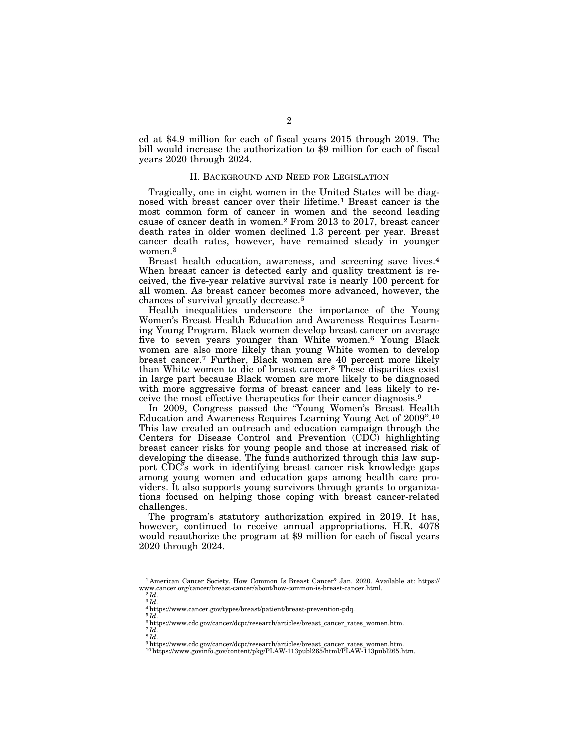ed at \$4.9 million for each of fiscal years 2015 through 2019. The bill would increase the authorization to \$9 million for each of fiscal years 2020 through 2024.

# II. BACKGROUND AND NEED FOR LEGISLATION

Tragically, one in eight women in the United States will be diagnosed with breast cancer over their lifetime.<sup>1</sup> Breast cancer is the most common form of cancer in women and the second leading cause of cancer death in women.2 From 2013 to 2017, breast cancer death rates in older women declined 1.3 percent per year. Breast cancer death rates, however, have remained steady in younger women.<sup>3</sup>

Breast health education, awareness, and screening save lives.4 When breast cancer is detected early and quality treatment is received, the five-year relative survival rate is nearly 100 percent for all women. As breast cancer becomes more advanced, however, the chances of survival greatly decrease.5

Health inequalities underscore the importance of the Young Women's Breast Health Education and Awareness Requires Learning Young Program. Black women develop breast cancer on average five to seven years younger than White women.6 Young Black women are also more likely than young White women to develop breast cancer.7 Further, Black women are 40 percent more likely than White women to die of breast cancer.8 These disparities exist in large part because Black women are more likely to be diagnosed with more aggressive forms of breast cancer and less likely to receive the most effective therapeutics for their cancer diagnosis.9

In 2009, Congress passed the ''Young Women's Breast Health Education and Awareness Requires Learning Young Act of 2009''.10 This law created an outreach and education campaign through the Centers for Disease Control and Prevention  $(\tilde{C}D\tilde{C})$  highlighting breast cancer risks for young people and those at increased risk of developing the disease. The funds authorized through this law support CDC's work in identifying breast cancer risk knowledge gaps among young women and education gaps among health care providers. It also supports young survivors through grants to organizations focused on helping those coping with breast cancer-related challenges.

The program's statutory authorization expired in 2019. It has, however, continued to receive annual appropriations. H.R. 4078 would reauthorize the program at \$9 million for each of fiscal years 2020 through 2024.

<sup>1</sup> American Cancer Society. How Common Is Breast Cancer? Jan. 2020. Available at: https://

*a Id.*<br>*a Id.*<br>*A* https://www.cancer.gov/types/breast/patient/breast-prevention-pdq.<br> $\frac{4 \text{ https}}{5}$ *Id.* 

<sup>&</sup>lt;sup>6</sup>https://www.cdc.gov/cancer/dcpc/research/articles/breast\_cancer\_rates\_women.htm.<br><sup>7</sup>Id.<br><sup>8</sup>Hd.<br><sup>9</sup>https://www.cdc.gov/cancer/dcpc/research/articles/breast\_cancer\_rates\_women.htm.<br><sup>9</sup>https://www.govinfo.gov/content/pkg/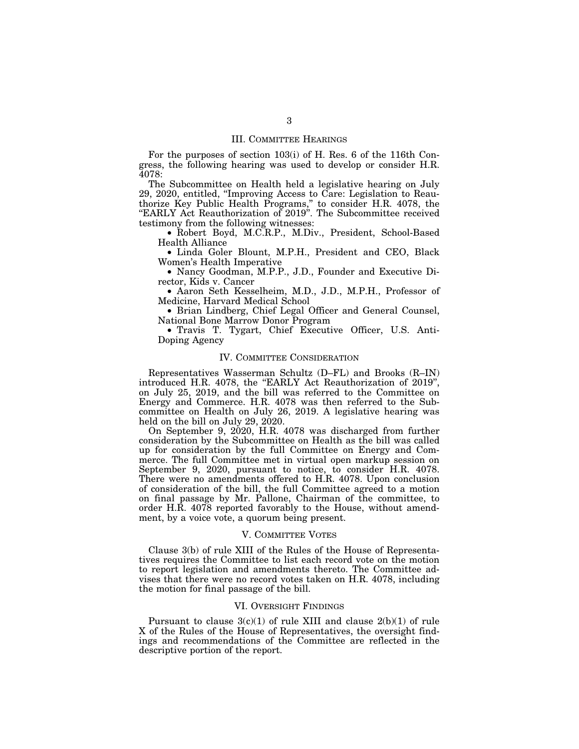### III. COMMITTEE HEARINGS

For the purposes of section 103(i) of H. Res. 6 of the 116th Congress, the following hearing was used to develop or consider H.R. 4078:

The Subcommittee on Health held a legislative hearing on July 29, 2020, entitled, ''Improving Access to Care: Legislation to Reauthorize Key Public Health Programs,'' to consider H.R. 4078, the ''EARLY Act Reauthorization of 2019''. The Subcommittee received testimony from the following witnesses:

• Robert Boyd, M.C.R.P., M.Div., President, School-Based Health Alliance

• Linda Goler Blount, M.P.H., President and CEO, Black Women's Health Imperative

• Nancy Goodman, M.P.P., J.D., Founder and Executive Director, Kids v. Cancer

• Aaron Seth Kesselheim, M.D., J.D., M.P.H., Professor of Medicine, Harvard Medical School

• Brian Lindberg, Chief Legal Officer and General Counsel, National Bone Marrow Donor Program

• Travis T. Tygart, Chief Executive Officer, U.S. Anti-Doping Agency

#### IV. COMMITTEE CONSIDERATION

Representatives Wasserman Schultz (D–FL) and Brooks (R–IN) introduced H.R. 4078, the "EARLY Act Reauthorization of 2019", on July 25, 2019, and the bill was referred to the Committee on Energy and Commerce. H.R. 4078 was then referred to the Subcommittee on Health on July 26, 2019. A legislative hearing was held on the bill on July 29, 2020.

On September 9, 2020, H.R. 4078 was discharged from further consideration by the Subcommittee on Health as the bill was called up for consideration by the full Committee on Energy and Commerce. The full Committee met in virtual open markup session on September 9, 2020, pursuant to notice, to consider H.R. 4078. There were no amendments offered to H.R. 4078. Upon conclusion of consideration of the bill, the full Committee agreed to a motion on final passage by Mr. Pallone, Chairman of the committee, to order H.R. 4078 reported favorably to the House, without amendment, by a voice vote, a quorum being present.

# V. COMMITTEE VOTES

Clause 3(b) of rule XIII of the Rules of the House of Representatives requires the Committee to list each record vote on the motion to report legislation and amendments thereto. The Committee advises that there were no record votes taken on H.R. 4078, including the motion for final passage of the bill.

#### VI. OVERSIGHT FINDINGS

Pursuant to clause  $3(c)(1)$  of rule XIII and clause  $2(b)(1)$  of rule X of the Rules of the House of Representatives, the oversight findings and recommendations of the Committee are reflected in the descriptive portion of the report.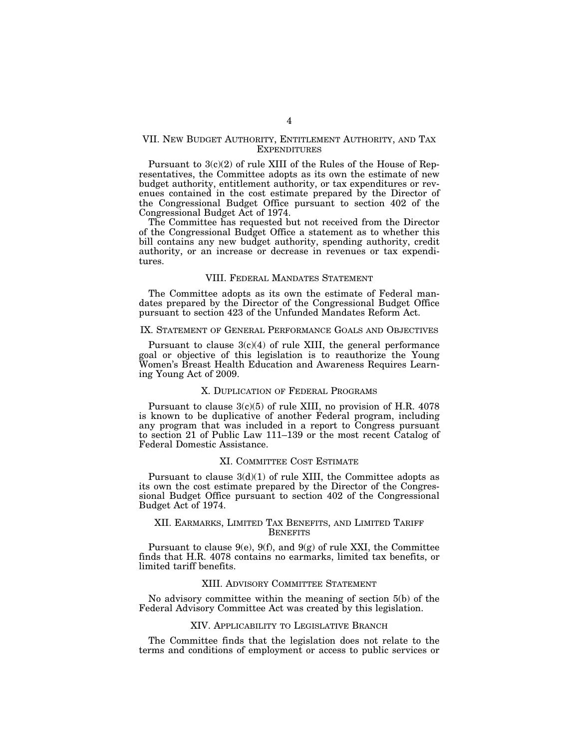## VII. NEW BUDGET AUTHORITY, ENTITLEMENT AUTHORITY, AND TAX EXPENDITURES

Pursuant to 3(c)(2) of rule XIII of the Rules of the House of Representatives, the Committee adopts as its own the estimate of new budget authority, entitlement authority, or tax expenditures or revenues contained in the cost estimate prepared by the Director of the Congressional Budget Office pursuant to section 402 of the Congressional Budget Act of 1974.

The Committee has requested but not received from the Director of the Congressional Budget Office a statement as to whether this bill contains any new budget authority, spending authority, credit authority, or an increase or decrease in revenues or tax expenditures.

#### VIII. FEDERAL MANDATES STATEMENT

The Committee adopts as its own the estimate of Federal mandates prepared by the Director of the Congressional Budget Office pursuant to section 423 of the Unfunded Mandates Reform Act.

### IX. STATEMENT OF GENERAL PERFORMANCE GOALS AND OBJECTIVES

Pursuant to clause  $3(c)(4)$  of rule XIII, the general performance goal or objective of this legislation is to reauthorize the Young Women's Breast Health Education and Awareness Requires Learning Young Act of 2009.

#### X. DUPLICATION OF FEDERAL PROGRAMS

Pursuant to clause 3(c)(5) of rule XIII, no provision of H.R. 4078 is known to be duplicative of another Federal program, including any program that was included in a report to Congress pursuant to section 21 of Public Law 111–139 or the most recent Catalog of Federal Domestic Assistance.

#### XI. COMMITTEE COST ESTIMATE

Pursuant to clause  $3(d)(1)$  of rule XIII, the Committee adopts as its own the cost estimate prepared by the Director of the Congressional Budget Office pursuant to section 402 of the Congressional Budget Act of 1974.

### XII. EARMARKS, LIMITED TAX BENEFITS, AND LIMITED TARIFF **BENEFITS**

Pursuant to clause  $9(e)$ ,  $9(f)$ , and  $9(g)$  of rule XXI, the Committee finds that H.R. 4078 contains no earmarks, limited tax benefits, or limited tariff benefits.

### XIII. ADVISORY COMMITTEE STATEMENT

No advisory committee within the meaning of section 5(b) of the Federal Advisory Committee Act was created by this legislation.

# XIV. APPLICABILITY TO LEGISLATIVE BRANCH

The Committee finds that the legislation does not relate to the terms and conditions of employment or access to public services or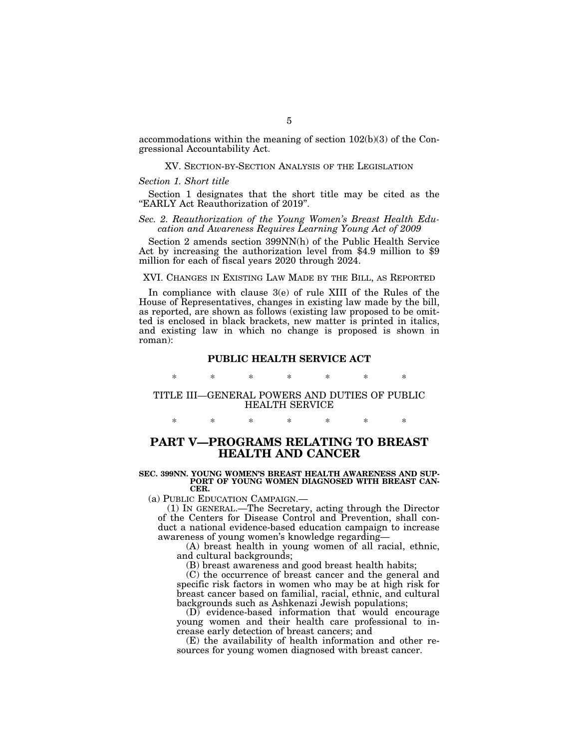accommodations within the meaning of section 102(b)(3) of the Congressional Accountability Act.

### XV. SECTION-BY-SECTION ANALYSIS OF THE LEGISLATION

#### *Section 1. Short title*

Section 1 designates that the short title may be cited as the ''EARLY Act Reauthorization of 2019''.

# *Sec. 2. Reauthorization of the Young Women's Breast Health Education and Awareness Requires Learning Young Act of 2009*

Section 2 amends section 399NN(h) of the Public Health Service Act by increasing the authorization level from \$4.9 million to \$9 million for each of fiscal years 2020 through 2024.

#### XVI. CHANGES IN EXISTING LAW MADE BY THE BILL, AS REPORTED

In compliance with clause 3(e) of rule XIII of the Rules of the House of Representatives, changes in existing law made by the bill, as reported, are shown as follows (existing law proposed to be omitted is enclosed in black brackets, new matter is printed in italics, and existing law in which no change is proposed is shown in roman):

## **PUBLIC HEALTH SERVICE ACT**

\* \* \* \* \* \* \*

# TITLE III—GENERAL POWERS AND DUTIES OF PUBLIC HEALTH SERVICE

# \* \* \* \* \* \* \*

# **PART V—PROGRAMS RELATING TO BREAST HEALTH AND CANCER**

#### **SEC. 399NN. YOUNG WOMEN'S BREAST HEALTH AWARENESS AND SUP-PORT OF YOUNG WOMEN DIAGNOSED WITH BREAST CAN-CER.**

(a) PUBLIC EDUCATION CAMPAIGN.—

(1) IN GENERAL.—The Secretary, acting through the Director of the Centers for Disease Control and Prevention, shall conduct a national evidence-based education campaign to increase awareness of young women's knowledge regarding—

(A) breast health in young women of all racial, ethnic, and cultural backgrounds;

(B) breast awareness and good breast health habits;

(C) the occurrence of breast cancer and the general and specific risk factors in women who may be at high risk for breast cancer based on familial, racial, ethnic, and cultural backgrounds such as Ashkenazi Jewish populations;

(D) evidence-based information that would encourage young women and their health care professional to increase early detection of breast cancers; and

(E) the availability of health information and other resources for young women diagnosed with breast cancer.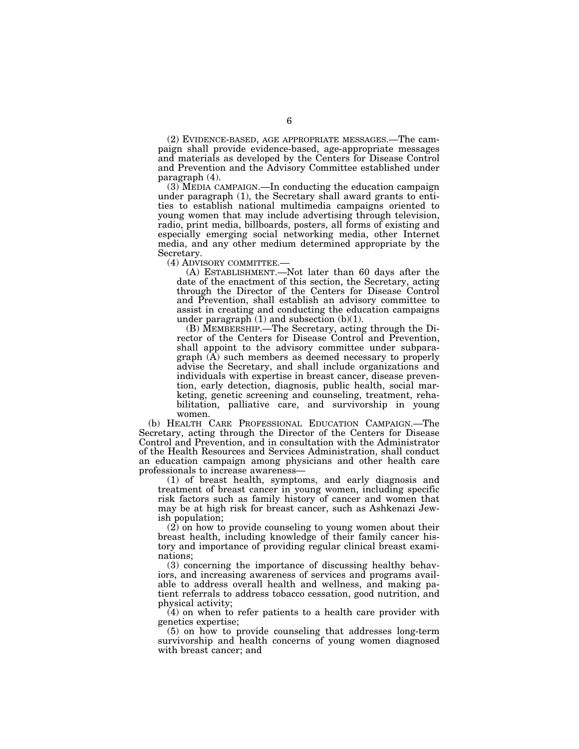(2) EVIDENCE-BASED, AGE APPROPRIATE MESSAGES.—The campaign shall provide evidence-based, age-appropriate messages and materials as developed by the Centers for Disease Control and Prevention and the Advisory Committee established under paragraph (4).

(3) MEDIA CAMPAIGN.—In conducting the education campaign under paragraph (1), the Secretary shall award grants to entities to establish national multimedia campaigns oriented to young women that may include advertising through television, radio, print media, billboards, posters, all forms of existing and especially emerging social networking media, other Internet media, and any other medium determined appropriate by the Secretary.

(4) ADVISORY COMMITTEE.—

(A) ESTABLISHMENT.—Not later than 60 days after the date of the enactment of this section, the Secretary, acting through the Director of the Centers for Disease Control and Prevention, shall establish an advisory committee to assist in creating and conducting the education campaigns under paragraph  $(1)$  and subsection  $(b)(1)$ .

(B) MEMBERSHIP.—The Secretary, acting through the Director of the Centers for Disease Control and Prevention, shall appoint to the advisory committee under subparagraph (A) such members as deemed necessary to properly advise the Secretary, and shall include organizations and individuals with expertise in breast cancer, disease prevention, early detection, diagnosis, public health, social marketing, genetic screening and counseling, treatment, rehabilitation, palliative care, and survivorship in young women.

(b) HEALTH CARE PROFESSIONAL EDUCATION CAMPAIGN.—The Secretary, acting through the Director of the Centers for Disease Control and Prevention, and in consultation with the Administrator of the Health Resources and Services Administration, shall conduct an education campaign among physicians and other health care professionals to increase awareness—

(1) of breast health, symptoms, and early diagnosis and treatment of breast cancer in young women, including specific risk factors such as family history of cancer and women that may be at high risk for breast cancer, such as Ashkenazi Jewish population;

(2) on how to provide counseling to young women about their breast health, including knowledge of their family cancer history and importance of providing regular clinical breast examinations;

(3) concerning the importance of discussing healthy behaviors, and increasing awareness of services and programs available to address overall health and wellness, and making patient referrals to address tobacco cessation, good nutrition, and physical activity;

(4) on when to refer patients to a health care provider with genetics expertise;

(5) on how to provide counseling that addresses long-term survivorship and health concerns of young women diagnosed with breast cancer; and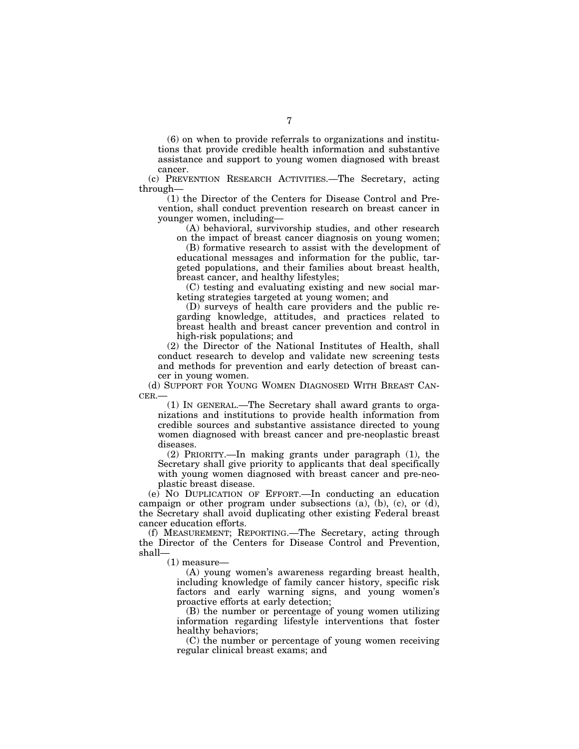(6) on when to provide referrals to organizations and institutions that provide credible health information and substantive assistance and support to young women diagnosed with breast cancer.

(c) PREVENTION RESEARCH ACTIVITIES.—The Secretary, acting through—

(1) the Director of the Centers for Disease Control and Prevention, shall conduct prevention research on breast cancer in younger women, including—

(A) behavioral, survivorship studies, and other research

on the impact of breast cancer diagnosis on young women; (B) formative research to assist with the development of educational messages and information for the public, targeted populations, and their families about breast health, breast cancer, and healthy lifestyles;

(C) testing and evaluating existing and new social marketing strategies targeted at young women; and

(D) surveys of health care providers and the public regarding knowledge, attitudes, and practices related to breast health and breast cancer prevention and control in high-risk populations; and

(2) the Director of the National Institutes of Health, shall conduct research to develop and validate new screening tests and methods for prevention and early detection of breast cancer in young women.

(d) SUPPORT FOR YOUNG WOMEN DIAGNOSED WITH BREAST CAN-CER.—

(1) IN GENERAL.—The Secretary shall award grants to organizations and institutions to provide health information from credible sources and substantive assistance directed to young women diagnosed with breast cancer and pre-neoplastic breast diseases.

(2) PRIORITY.—In making grants under paragraph (1), the Secretary shall give priority to applicants that deal specifically with young women diagnosed with breast cancer and pre-neoplastic breast disease.

(e) NO DUPLICATION OF EFFORT.—In conducting an education campaign or other program under subsections  $(a)$ ,  $(b)$ ,  $(c)$ , or  $(d)$ , the Secretary shall avoid duplicating other existing Federal breast cancer education efforts.

(f) MEASUREMENT; REPORTING.—The Secretary, acting through the Director of the Centers for Disease Control and Prevention, shall—

(1) measure—

(A) young women's awareness regarding breast health, including knowledge of family cancer history, specific risk factors and early warning signs, and young women's proactive efforts at early detection;

(B) the number or percentage of young women utilizing information regarding lifestyle interventions that foster healthy behaviors;

(C) the number or percentage of young women receiving regular clinical breast exams; and